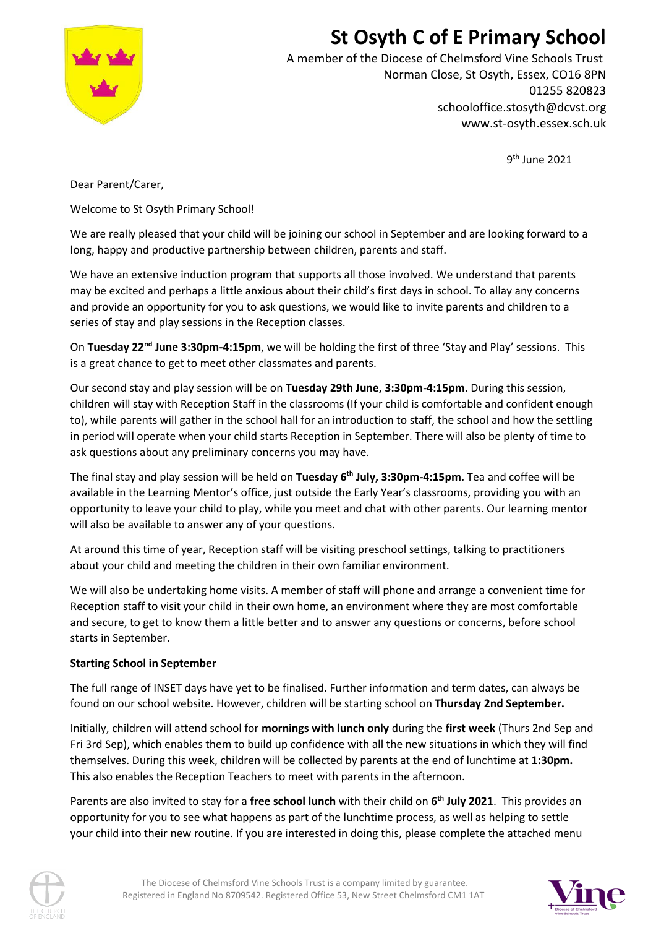## **St Osyth C of E Primary School**



A member of the Diocese of Chelmsford Vine Schools Trust Norman Close, St Osyth, Essex, CO16 8PN 01255 820823 schooloffice.stosyth@dcvst.org www.st-osyth.essex.sch.uk

9<sup>th</sup> June 2021

Dear Parent/Carer,

Welcome to St Osyth Primary School!

We are really pleased that your child will be joining our school in September and are looking forward to a long, happy and productive partnership between children, parents and staff.

We have an extensive induction program that supports all those involved. We understand that parents may be excited and perhaps a little anxious about their child's first days in school. To allay any concerns and provide an opportunity for you to ask questions, we would like to invite parents and children to a series of stay and play sessions in the Reception classes.

On **Tuesday 22nd June 3:30pm-4:15pm**, we will be holding the first of three 'Stay and Play' sessions. This is a great chance to get to meet other classmates and parents.

Our second stay and play session will be on **Tuesday 29th June, 3:30pm-4:15pm.** During this session, children will stay with Reception Staff in the classrooms (If your child is comfortable and confident enough to), while parents will gather in the school hall for an introduction to staff, the school and how the settling in period will operate when your child starts Reception in September. There will also be plenty of time to ask questions about any preliminary concerns you may have.

The final stay and play session will be held on **Tuesday 6th July, 3:30pm-4:15pm.** Tea and coffee will be available in the Learning Mentor's office, just outside the Early Year's classrooms, providing you with an opportunity to leave your child to play, while you meet and chat with other parents. Our learning mentor will also be available to answer any of your questions.

At around this time of year, Reception staff will be visiting preschool settings, talking to practitioners about your child and meeting the children in their own familiar environment.

We will also be undertaking home visits. A member of staff will phone and arrange a convenient time for Reception staff to visit your child in their own home, an environment where they are most comfortable and secure, to get to know them a little better and to answer any questions or concerns, before school starts in September.

#### **Starting School in September**

The full range of INSET days have yet to be finalised. Further information and term dates, can always be found on our school website. However, children will be starting school on **Thursday 2nd September.**

Initially, children will attend school for **mornings with lunch only** during the **first week** (Thurs 2nd Sep and Fri 3rd Sep), which enables them to build up confidence with all the new situations in which they will find themselves. During this week, children will be collected by parents at the end of lunchtime at **1:30pm.** This also enables the Reception Teachers to meet with parents in the afternoon.

Parents are also invited to stay for a **free school lunch** with their child on **6 th July 2021**. This provides an opportunity for you to see what happens as part of the lunchtime process, as well as helping to settle your child into their new routine. If you are interested in doing this, please complete the attached menu



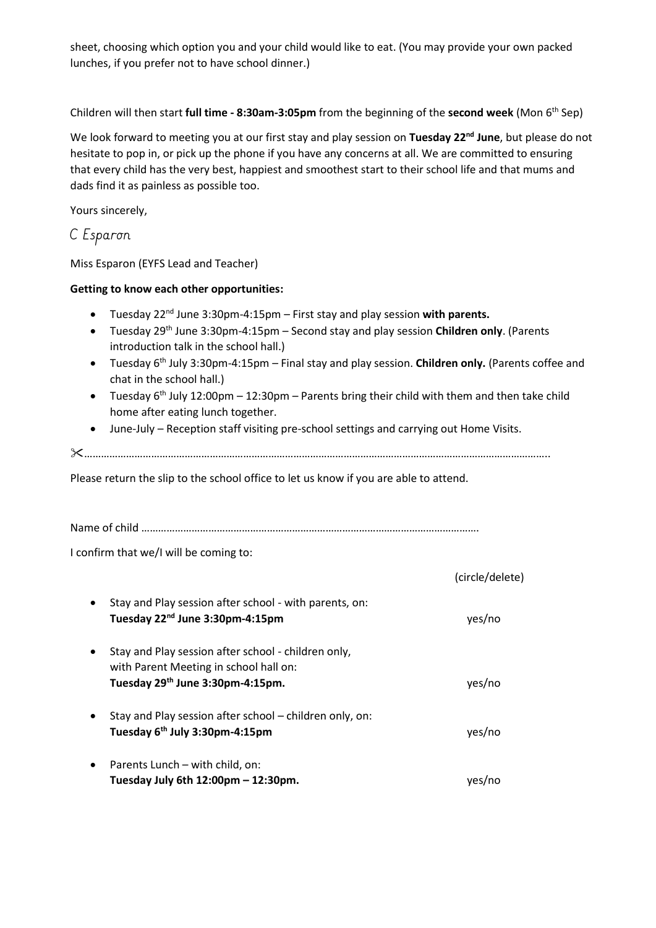sheet, choosing which option you and your child would like to eat. (You may provide your own packed lunches, if you prefer not to have school dinner.)

Children will then start **full time - 8:30am-3:05pm** from the beginning of the **second week** (Mon 6th Sep)

We look forward to meeting you at our first stay and play session on **Tuesday 22nd June**, but please do not hesitate to pop in, or pick up the phone if you have any concerns at all. We are committed to ensuring that every child has the very best, happiest and smoothest start to their school life and that mums and dads find it as painless as possible too.

Yours sincerely,

#### C Esparon

Miss Esparon (EYFS Lead and Teacher)

#### **Getting to know each other opportunities:**

- Tuesday 22nd June 3:30pm-4:15pm First stay and play session **with parents.**
- Tuesday 29th June 3:30pm-4:15pm Second stay and play session **Children only**. (Parents introduction talk in the school hall.)
- Tuesday 6th July 3:30pm-4:15pm Final stay and play session. **Children only.** (Parents coffee and chat in the school hall.)
- Tuesday  $6<sup>th</sup>$  July 12:00pm 12:30pm Parents bring their child with them and then take child home after eating lunch together.
- June-July Reception staff visiting pre-school settings and carrying out Home Visits.

…………………………………………………………………………………………………………………………………………………..

Please return the slip to the school office to let us know if you are able to attend.

Name of child ………………………………………………………………………………………………………….

I confirm that we/I will be coming to:

|           |                                                                                                                                               | (circle/delete) |
|-----------|-----------------------------------------------------------------------------------------------------------------------------------------------|-----------------|
| $\bullet$ | Stay and Play session after school - with parents, on:<br>Tuesday 22 <sup>nd</sup> June 3:30pm-4:15pm                                         | yes/no          |
| $\bullet$ | Stay and Play session after school - children only,<br>with Parent Meeting in school hall on:<br>Tuesday 29 <sup>th</sup> June 3:30pm-4:15pm. | yes/no          |
|           | Stay and Play session after school - children only, on:<br>Tuesday 6 <sup>th</sup> July 3:30pm-4:15pm                                         | yes/no          |
| $\bullet$ | Parents Lunch – with child, on:<br>Tuesday July 6th $12:00 \text{pm} - 12:30 \text{pm}$ .                                                     | ves/no          |